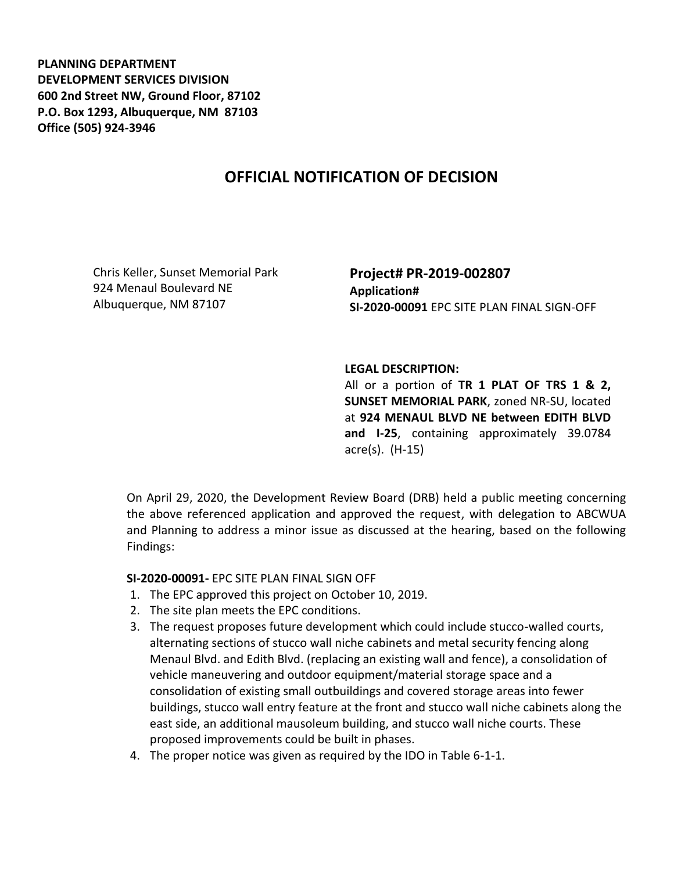**PLANNING DEPARTMENT DEVELOPMENT SERVICES DIVISION 600 2nd Street NW, Ground Floor, 87102 P.O. Box 1293, Albuquerque, NM 87103 Office (505) 924-3946** 

## **OFFICIAL NOTIFICATION OF DECISION**

Chris Keller, Sunset Memorial Park 924 Menaul Boulevard NE Albuquerque, NM 87107

**Project# PR-2019-002807 Application# SI-2020-00091** EPC SITE PLAN FINAL SIGN-OFF

## **LEGAL DESCRIPTION:**

All or a portion of **TR 1 PLAT OF TRS 1 & 2, SUNSET MEMORIAL PARK**, zoned NR-SU, located at **924 MENAUL BLVD NE between EDITH BLVD and I-25**, containing approximately 39.0784 acre(s). (H-15)

On April 29, 2020, the Development Review Board (DRB) held a public meeting concerning the above referenced application and approved the request, with delegation to ABCWUA and Planning to address a minor issue as discussed at the hearing, based on the following Findings:

## **SI-2020-00091-** EPC SITE PLAN FINAL SIGN OFF

- 1. The EPC approved this project on October 10, 2019.
- 2. The site plan meets the EPC conditions.
- 3. The request proposes future development which could include stucco-walled courts, alternating sections of stucco wall niche cabinets and metal security fencing along Menaul Blvd. and Edith Blvd. (replacing an existing wall and fence), a consolidation of vehicle maneuvering and outdoor equipment/material storage space and a consolidation of existing small outbuildings and covered storage areas into fewer buildings, stucco wall entry feature at the front and stucco wall niche cabinets along the east side, an additional mausoleum building, and stucco wall niche courts. These proposed improvements could be built in phases.
- 4. The proper notice was given as required by the IDO in Table 6-1-1.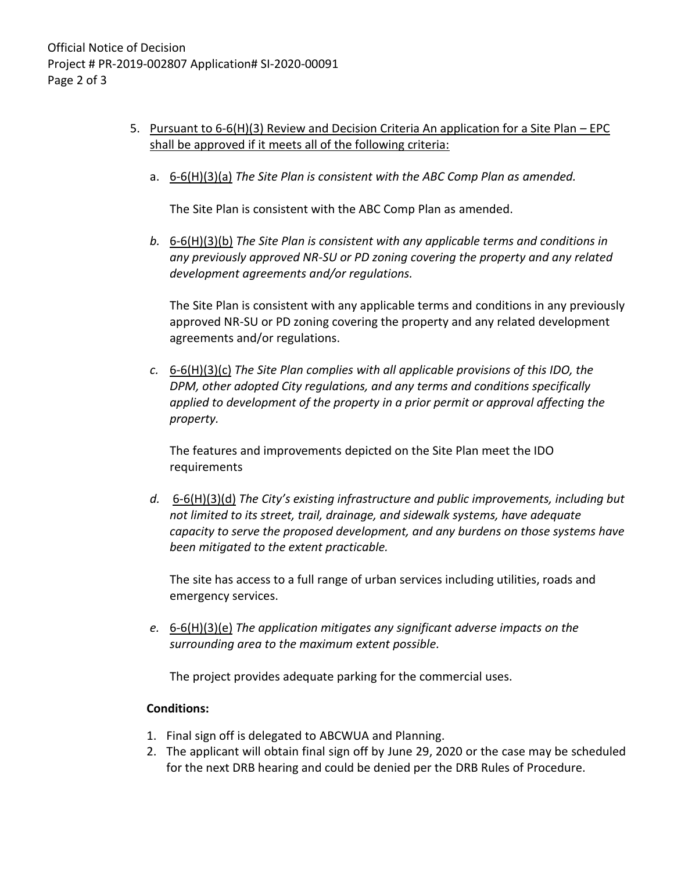- 5. Pursuant to 6-6(H)(3) Review and Decision Criteria An application for a Site Plan EPC shall be approved if it meets all of the following criteria:
	- a. 6-6(H)(3)(a) *The Site Plan is consistent with the ABC Comp Plan as amended.*

The Site Plan is consistent with the ABC Comp Plan as amended.

*b.* 6-6(H)(3)(b) *The Site Plan is consistent with any applicable terms and conditions in any previously approved NR-SU or PD zoning covering the property and any related development agreements and/or regulations.* 

The Site Plan is consistent with any applicable terms and conditions in any previously approved NR-SU or PD zoning covering the property and any related development agreements and/or regulations.

*c.* 6-6(H)(3)(c) *The Site Plan complies with all applicable provisions of this IDO, the DPM, other adopted City regulations, and any terms and conditions specifically applied to development of the property in a prior permit or approval affecting the property.* 

The features and improvements depicted on the Site Plan meet the IDO requirements

*d.* 6-6(H)(3)(d) *The City's existing infrastructure and public improvements, including but not limited to its street, trail, drainage, and sidewalk systems, have adequate capacity to serve the proposed development, and any burdens on those systems have been mitigated to the extent practicable.* 

The site has access to a full range of urban services including utilities, roads and emergency services.

*e.* 6-6(H)(3)(e) *The application mitigates any significant adverse impacts on the surrounding area to the maximum extent possible.* 

The project provides adequate parking for the commercial uses.

## **Conditions:**

- 1. Final sign off is delegated to ABCWUA and Planning.
- 2. The applicant will obtain final sign off by June 29, 2020 or the case may be scheduled for the next DRB hearing and could be denied per the DRB Rules of Procedure.